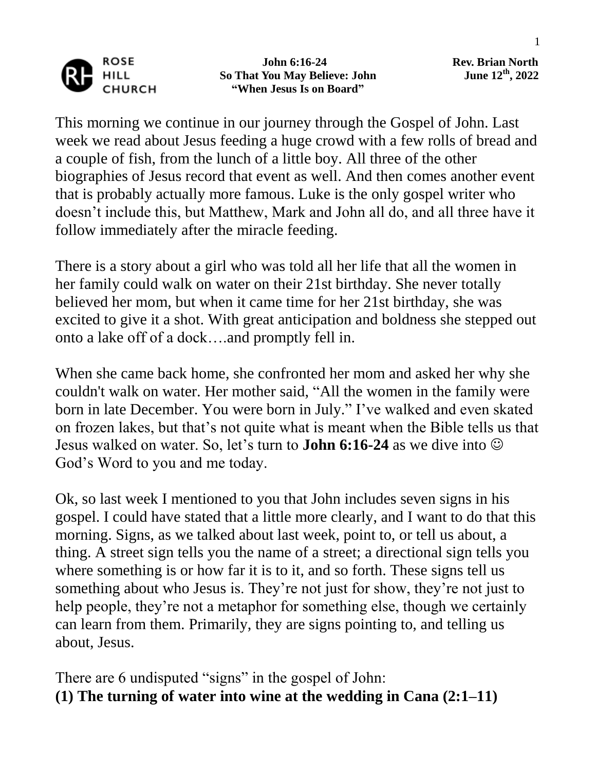

 **John 6:16-24 Rev. Brian North So That You May Believe: John "When Jesus Is on Board"**

**, 2022**

This morning we continue in our journey through the Gospel of John. Last week we read about Jesus feeding a huge crowd with a few rolls of bread and a couple of fish, from the lunch of a little boy. All three of the other biographies of Jesus record that event as well. And then comes another event that is probably actually more famous. Luke is the only gospel writer who doesn't include this, but Matthew, Mark and John all do, and all three have it follow immediately after the miracle feeding.

There is a story about a girl who was told all her life that all the women in her family could walk on water on their 21st birthday. She never totally believed her mom, but when it came time for her 21st birthday, she was excited to give it a shot. With great anticipation and boldness she stepped out onto a lake off of a dock….and promptly fell in.

When she came back home, she confronted her mom and asked her why she couldn't walk on water. Her mother said, "All the women in the family were born in late December. You were born in July." I've walked and even skated on frozen lakes, but that's not quite what is meant when the Bible tells us that Jesus walked on water. So, let's turn to **John 6:16-24** as we dive into God's Word to you and me today.

Ok, so last week I mentioned to you that John includes seven signs in his gospel. I could have stated that a little more clearly, and I want to do that this morning. Signs, as we talked about last week, point to, or tell us about, a thing. A street sign tells you the name of a street; a directional sign tells you where something is or how far it is to it, and so forth. These signs tell us something about who Jesus is. They're not just for show, they're not just to help people, they're not a metaphor for something else, though we certainly can learn from them. Primarily, they are signs pointing to, and telling us about, Jesus.

There are 6 undisputed "signs" in the gospel of John: **(1) The turning of water into wine at the wedding in Cana (2:1–11)**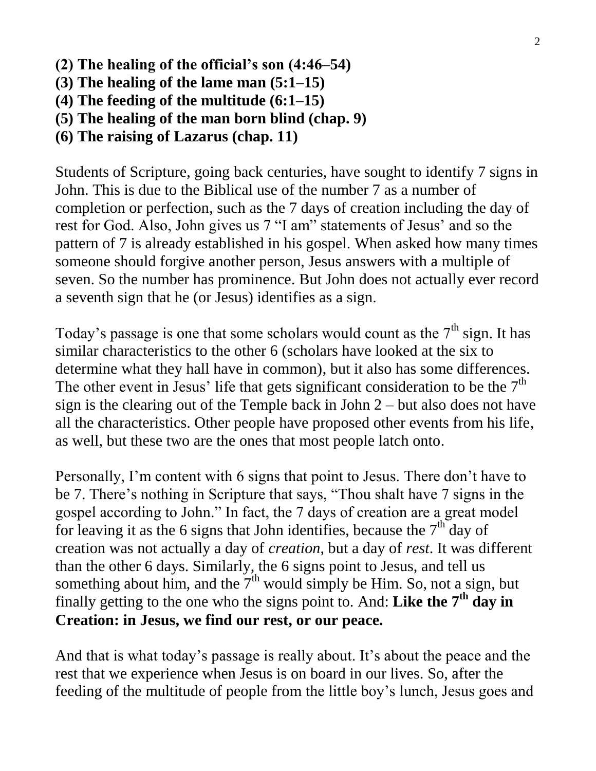- **(2) The healing of the official's son (4:46–54)**
- **(3) The healing of the lame man (5:1–15)**
- **(4) The feeding of the multitude (6:1–15)**
- **(5) The healing of the man born blind (chap. 9)**
- **(6) The raising of Lazarus (chap. 11)**

Students of Scripture, going back centuries, have sought to identify 7 signs in John. This is due to the Biblical use of the number 7 as a number of completion or perfection, such as the 7 days of creation including the day of rest for God. Also, John gives us 7 "I am" statements of Jesus' and so the pattern of 7 is already established in his gospel. When asked how many times someone should forgive another person, Jesus answers with a multiple of seven. So the number has prominence. But John does not actually ever record a seventh sign that he (or Jesus) identifies as a sign.

Today's passage is one that some scholars would count as the  $7<sup>th</sup>$  sign. It has similar characteristics to the other 6 (scholars have looked at the six to determine what they hall have in common), but it also has some differences. The other event in Jesus' life that gets significant consideration to be the  $7<sup>th</sup>$ sign is the clearing out of the Temple back in John 2 – but also does not have all the characteristics. Other people have proposed other events from his life, as well, but these two are the ones that most people latch onto.

Personally, I'm content with 6 signs that point to Jesus. There don't have to be 7. There's nothing in Scripture that says, "Thou shalt have 7 signs in the gospel according to John." In fact, the 7 days of creation are a great model for leaving it as the 6 signs that John identifies, because the  $7<sup>th</sup>$  day of creation was not actually a day of *creation*, but a day of *rest*. It was different than the other 6 days. Similarly, the 6 signs point to Jesus, and tell us something about him, and the  $7<sup>th</sup>$  would simply be Him. So, not a sign, but finally getting to the one who the signs point to. And: **Like the 7th day in Creation: in Jesus, we find our rest, or our peace.**

And that is what today's passage is really about. It's about the peace and the rest that we experience when Jesus is on board in our lives. So, after the feeding of the multitude of people from the little boy's lunch, Jesus goes and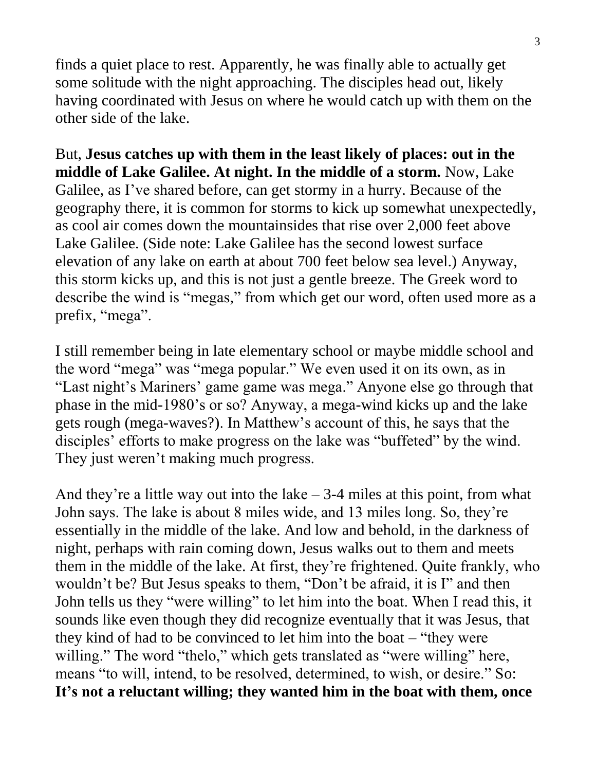finds a quiet place to rest. Apparently, he was finally able to actually get some solitude with the night approaching. The disciples head out, likely having coordinated with Jesus on where he would catch up with them on the other side of the lake.

But, **Jesus catches up with them in the least likely of places: out in the middle of Lake Galilee. At night. In the middle of a storm.** Now, Lake Galilee, as I've shared before, can get stormy in a hurry. Because of the geography there, it is common for storms to kick up somewhat unexpectedly, as cool air comes down the mountainsides that rise over 2,000 feet above Lake Galilee. (Side note: Lake Galilee has the second lowest surface elevation of any lake on earth at about 700 feet below sea level.) Anyway, this storm kicks up, and this is not just a gentle breeze. The Greek word to describe the wind is "megas," from which get our word, often used more as a prefix, "mega".

I still remember being in late elementary school or maybe middle school and the word "mega" was "mega popular." We even used it on its own, as in "Last night's Mariners' game game was mega." Anyone else go through that phase in the mid-1980's or so? Anyway, a mega-wind kicks up and the lake gets rough (mega-waves?). In Matthew's account of this, he says that the disciples' efforts to make progress on the lake was "buffeted" by the wind. They just weren't making much progress.

And they're a little way out into the lake  $-3-4$  miles at this point, from what John says. The lake is about 8 miles wide, and 13 miles long. So, they're essentially in the middle of the lake. And low and behold, in the darkness of night, perhaps with rain coming down, Jesus walks out to them and meets them in the middle of the lake. At first, they're frightened. Quite frankly, who wouldn't be? But Jesus speaks to them, "Don't be afraid, it is I" and then John tells us they "were willing" to let him into the boat. When I read this, it sounds like even though they did recognize eventually that it was Jesus, that they kind of had to be convinced to let him into the boat – "they were willing." The word "thelo," which gets translated as "were willing" here, means "to will, intend, to be resolved, determined, to wish, or desire." So: **It's not a reluctant willing; they wanted him in the boat with them, once**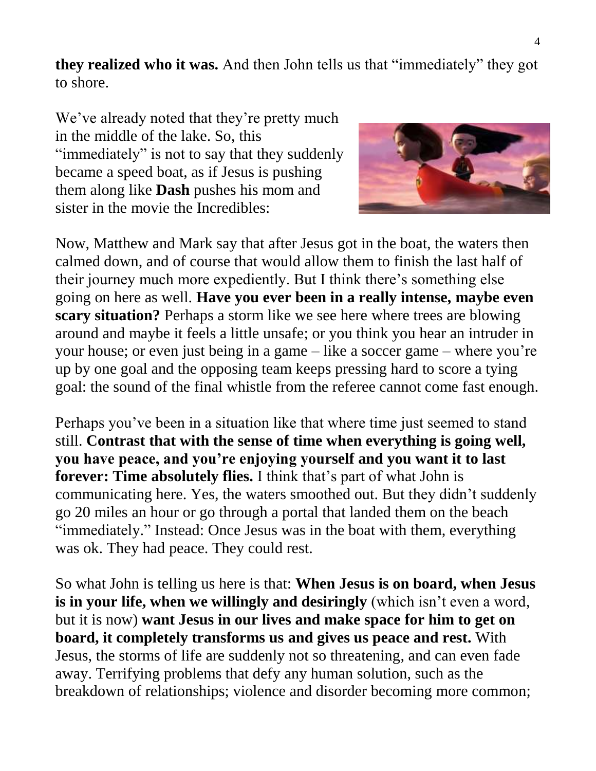**they realized who it was.** And then John tells us that "immediately" they got to shore.

We've already noted that they're pretty much in the middle of the lake. So, this "immediately" is not to say that they suddenly became a speed boat, as if Jesus is pushing them along like **Dash** pushes his mom and sister in the movie the Incredibles:



Now, Matthew and Mark say that after Jesus got in the boat, the waters then calmed down, and of course that would allow them to finish the last half of their journey much more expediently. But I think there's something else going on here as well. **Have you ever been in a really intense, maybe even scary situation?** Perhaps a storm like we see here where trees are blowing around and maybe it feels a little unsafe; or you think you hear an intruder in your house; or even just being in a game – like a soccer game – where you're up by one goal and the opposing team keeps pressing hard to score a tying goal: the sound of the final whistle from the referee cannot come fast enough.

Perhaps you've been in a situation like that where time just seemed to stand still. **Contrast that with the sense of time when everything is going well, you have peace, and you're enjoying yourself and you want it to last forever: Time absolutely flies.** I think that's part of what John is communicating here. Yes, the waters smoothed out. But they didn't suddenly go 20 miles an hour or go through a portal that landed them on the beach "immediately." Instead: Once Jesus was in the boat with them, everything was ok. They had peace. They could rest.

So what John is telling us here is that: **When Jesus is on board, when Jesus is in your life, when we willingly and desiringly** (which isn't even a word, but it is now) **want Jesus in our lives and make space for him to get on board, it completely transforms us and gives us peace and rest.** With Jesus, the storms of life are suddenly not so threatening, and can even fade away. Terrifying problems that defy any human solution, such as the breakdown of relationships; violence and disorder becoming more common;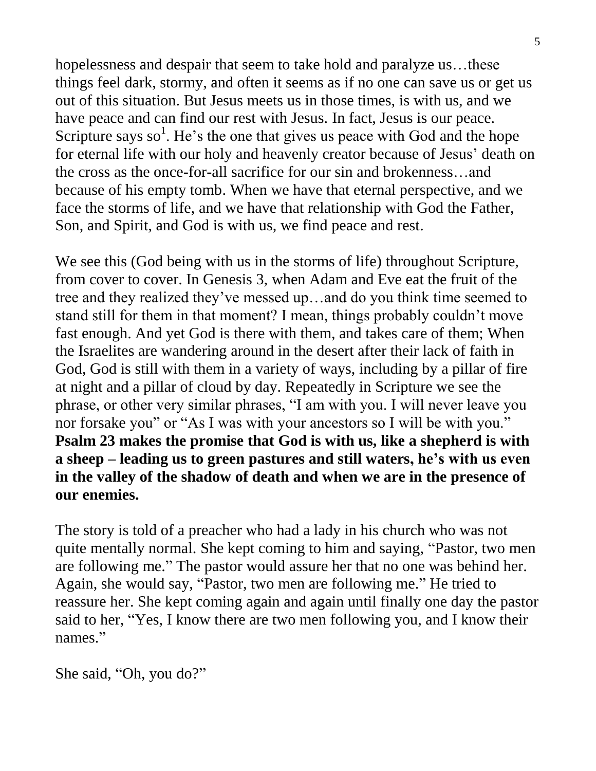hopelessness and despair that seem to take hold and paralyze us...these things feel dark, stormy, and often it seems as if no one can save us or get us out of this situation. But Jesus meets us in those times, is with us, and we have peace and can find our rest with Jesus. In fact, Jesus is our peace. Scripture says so<sup>1</sup>. He's the one that gives us peace with God and the hope for eternal life with our holy and heavenly creator because of Jesus' death on the cross as the once-for-all sacrifice for our sin and brokenness…and because of his empty tomb. When we have that eternal perspective, and we face the storms of life, and we have that relationship with God the Father, Son, and Spirit, and God is with us, we find peace and rest.

We see this (God being with us in the storms of life) throughout Scripture, from cover to cover. In Genesis 3, when Adam and Eve eat the fruit of the tree and they realized they've messed up…and do you think time seemed to stand still for them in that moment? I mean, things probably couldn't move fast enough. And yet God is there with them, and takes care of them; When the Israelites are wandering around in the desert after their lack of faith in God, God is still with them in a variety of ways, including by a pillar of fire at night and a pillar of cloud by day. Repeatedly in Scripture we see the phrase, or other very similar phrases, "I am with you. I will never leave you nor forsake you" or "As I was with your ancestors so I will be with you." **Psalm 23 makes the promise that God is with us, like a shepherd is with a sheep – leading us to green pastures and still waters, he's with us even in the valley of the shadow of death and when we are in the presence of our enemies.**

The story is told of a preacher who had a lady in his church who was not quite mentally normal. She kept coming to him and saying, "Pastor, two men are following me." The pastor would assure her that no one was behind her. Again, she would say, "Pastor, two men are following me." He tried to reassure her. She kept coming again and again until finally one day the pastor said to her, "Yes, I know there are two men following you, and I know their names."

She said, "Oh, you do?"